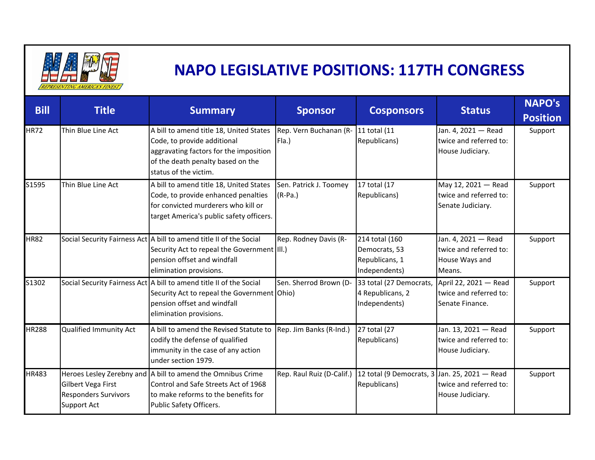

## **NAPO LEGISLATIVE POSITIONS: 117TH CONGRESS**

| <b>Bill</b>  | <b>Title</b>                                                            | <b>Summary</b>                                                                                                                                                                  | <b>Sponsor</b>                      | <b>Cosponsors</b>                                                  | <b>Status</b>                                                             | <b>NAPO's</b><br><b>Position</b> |
|--------------|-------------------------------------------------------------------------|---------------------------------------------------------------------------------------------------------------------------------------------------------------------------------|-------------------------------------|--------------------------------------------------------------------|---------------------------------------------------------------------------|----------------------------------|
| <b>HR72</b>  | Thin Blue Line Act                                                      | A bill to amend title 18, United States<br>Code, to provide additional<br>aggravating factors for the imposition<br>of the death penalty based on the<br>status of the victim.  | Rep. Vern Buchanan (R-<br>Fla.)     | 11 total (11<br>Republicans)                                       | Jan. 4, 2021 - Read<br>twice and referred to:<br>House Judiciary.         | Support                          |
| S1595        | Thin Blue Line Act                                                      | A bill to amend title 18, United States<br>Code, to provide enhanced penalties<br>for convicted murderers who kill or<br>target America's public safety officers.               | Sen. Patrick J. Toomey<br>$(R-Pa.)$ | 17 total (17<br>Republicans)                                       | May 12, 2021 - Read<br>twice and referred to:<br>Senate Judiciary.        | Support                          |
| HR82         |                                                                         | Social Security Fairness Act   A bill to amend title II of the Social<br>Security Act to repeal the Government (III.)<br>pension offset and windfall<br>elimination provisions. | Rep. Rodney Davis (R-               | 214 total (160<br>Democrats, 53<br>Republicans, 1<br>Independents) | Jan. 4, 2021 - Read<br>twice and referred to:<br>House Ways and<br>Means. | Support                          |
| S1302        |                                                                         | Social Security Fairness Act A bill to amend title II of the Social<br>Security Act to repeal the Government Ohio)<br>pension offset and windfall<br>elimination provisions.    | Sen. Sherrod Brown (D-              | 33 total (27 Democrats,<br>4 Republicans, 2<br>Independents)       | April 22, 2021 - Read<br>twice and referred to:<br>Senate Finance.        | Support                          |
| <b>HR288</b> | Qualified Immunity Act                                                  | A bill to amend the Revised Statute to<br>codify the defense of qualified<br>immunity in the case of any action<br>under section 1979.                                          | Rep. Jim Banks (R-Ind.)             | 27 total (27<br>Republicans)                                       | Jan. 13, 2021 - Read<br>twice and referred to:<br>House Judiciary.        | Support                          |
| HR483        | Gilbert Vega First<br><b>Responders Survivors</b><br><b>Support Act</b> | Heroes Lesley Zerebny and A bill to amend the Omnibus Crime<br>Control and Safe Streets Act of 1968<br>to make reforms to the benefits for<br>Public Safety Officers.           | Rep. Raul Ruiz (D-Calif.)           | 12 total (9 Democrats, 3 Jan. 25, 2021 - Read<br>Republicans)      | twice and referred to:<br>House Judiciary.                                | Support                          |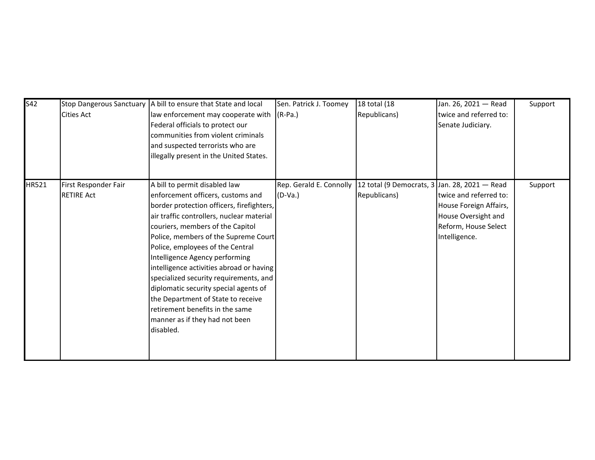| S42   | <b>Cities Act</b>                         | Stop Dangerous Sanctuary   A bill to ensure that State and local<br>law enforcement may cooperate with<br>Federal officials to protect our<br>communities from violent criminals<br>and suspected terrorists who are<br>illegally present in the United States.                                                                                                                                                                                                                                                                                                       | Sen. Patrick J. Toomey<br>$(R-Pa.)$ | 18 total (18<br>Republicans)                                                            | Jan. 26, 2021 - Read<br>twice and referred to:<br>Senate Judiciary.                                              | Support |
|-------|-------------------------------------------|-----------------------------------------------------------------------------------------------------------------------------------------------------------------------------------------------------------------------------------------------------------------------------------------------------------------------------------------------------------------------------------------------------------------------------------------------------------------------------------------------------------------------------------------------------------------------|-------------------------------------|-----------------------------------------------------------------------------------------|------------------------------------------------------------------------------------------------------------------|---------|
| HR521 | First Responder Fair<br><b>RETIRE Act</b> | A bill to permit disabled law<br>enforcement officers, customs and<br>border protection officers, firefighters,<br>air traffic controllers, nuclear material<br>couriers, members of the Capitol<br>Police, members of the Supreme Court<br>Police, employees of the Central<br>Intelligence Agency performing<br>intelligence activities abroad or having<br>specialized security requirements, and<br>diplomatic security special agents of<br>the Department of State to receive<br>retirement benefits in the same<br>manner as if they had not been<br>disabled. | $(D-Va.)$                           | Rep. Gerald E. Connolly   12 total (9 Democrats, 3 Jan. 28, 2021 – Read<br>Republicans) | twice and referred to:<br>House Foreign Affairs,<br>House Oversight and<br>Reform, House Select<br>Intelligence. | Support |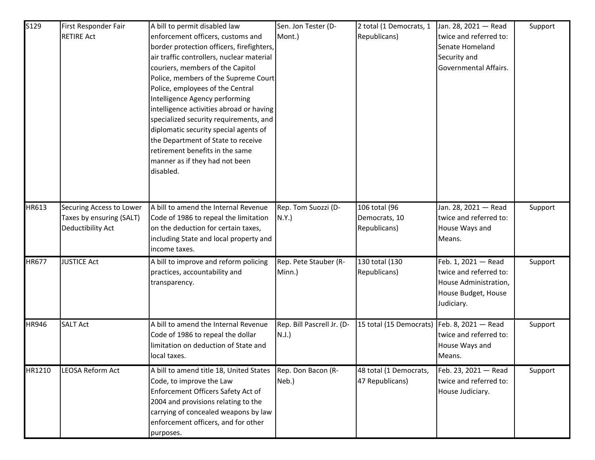| S129         | First Responder Fair<br><b>RETIRE Act</b>                                 | A bill to permit disabled law<br>enforcement officers, customs and<br>border protection officers, firefighters,<br>air traffic controllers, nuclear material<br>couriers, members of the Capitol<br>Police, members of the Supreme Court<br>Police, employees of the Central<br>Intelligence Agency performing<br>intelligence activities abroad or having<br>specialized security requirements, and<br>diplomatic security special agents of<br>the Department of State to receive<br>retirement benefits in the same | Sen. Jon Tester (D-<br>Mont.)          | 2 total (1 Democrats, 1<br>Republicans)        | Jan. 28, 2021 - Read<br>twice and referred to:<br>Senate Homeland<br>Security and<br>Governmental Affairs.  | Support |
|--------------|---------------------------------------------------------------------------|------------------------------------------------------------------------------------------------------------------------------------------------------------------------------------------------------------------------------------------------------------------------------------------------------------------------------------------------------------------------------------------------------------------------------------------------------------------------------------------------------------------------|----------------------------------------|------------------------------------------------|-------------------------------------------------------------------------------------------------------------|---------|
|              |                                                                           | manner as if they had not been<br>disabled.                                                                                                                                                                                                                                                                                                                                                                                                                                                                            |                                        |                                                |                                                                                                             |         |
| HR613        | Securing Access to Lower<br>Taxes by ensuring (SALT)<br>Deductibility Act | A bill to amend the Internal Revenue<br>Code of 1986 to repeal the limitation<br>on the deduction for certain taxes,<br>including State and local property and<br>income taxes.                                                                                                                                                                                                                                                                                                                                        | Rep. Tom Suozzi (D-<br>N.Y.            | 106 total (96<br>Democrats, 10<br>Republicans) | Jan. 28, 2021 - Read<br>twice and referred to:<br>House Ways and<br>Means.                                  | Support |
| <b>HR677</b> | <b>JUSTICE Act</b>                                                        | A bill to improve and reform policing<br>practices, accountability and<br>transparency.                                                                                                                                                                                                                                                                                                                                                                                                                                | Rep. Pete Stauber (R-<br>Minn.)        | 130 total (130<br>Republicans)                 | Feb. 1, 2021 - Read<br>twice and referred to:<br>House Administration,<br>House Budget, House<br>Judiciary. | Support |
| <b>HR946</b> | <b>SALT Act</b>                                                           | A bill to amend the Internal Revenue<br>Code of 1986 to repeal the dollar<br>limitation on deduction of State and<br>local taxes.                                                                                                                                                                                                                                                                                                                                                                                      | Rep. Bill Pascrell Jr. (D-<br>$N.J.$ ) | 15 total (15 Democrats)                        | Feb. 8, 2021 - Read<br>twice and referred to:<br>House Ways and<br>Means.                                   | Support |
| HR1210       | <b>LEOSA Reform Act</b>                                                   | A bill to amend title 18, United States<br>Code, to improve the Law<br>Enforcement Officers Safety Act of<br>2004 and provisions relating to the<br>carrying of concealed weapons by law<br>enforcement officers, and for other<br>purposes.                                                                                                                                                                                                                                                                           | Rep. Don Bacon (R-<br>Neb.)            | 48 total (1 Democrats,<br>47 Republicans)      | Feb. 23, 2021 - Read<br>twice and referred to:<br>House Judiciary.                                          | Support |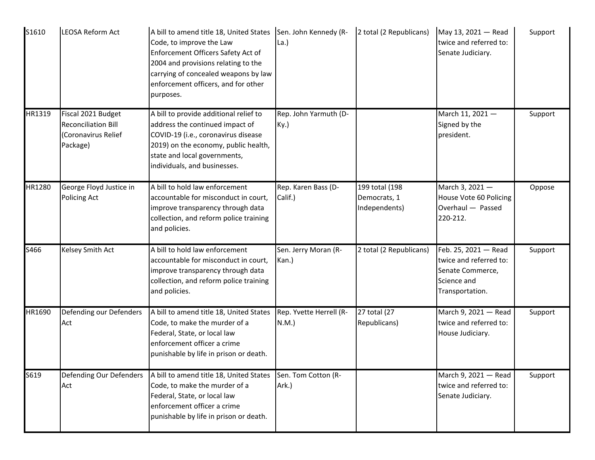| S1610  | LEOSA Reform Act                                                                    | A bill to amend title 18, United States Sen. John Kennedy (R-<br>Code, to improve the Law<br>Enforcement Officers Safety Act of<br>2004 and provisions relating to the<br>carrying of concealed weapons by law<br>enforcement officers, and for other<br>purposes. | La.)                            | 2 total (2 Republicans)                         | May 13, 2021 - Read<br>twice and referred to:<br>Senate Judiciary.                                   | Support |
|--------|-------------------------------------------------------------------------------------|--------------------------------------------------------------------------------------------------------------------------------------------------------------------------------------------------------------------------------------------------------------------|---------------------------------|-------------------------------------------------|------------------------------------------------------------------------------------------------------|---------|
| HR1319 | Fiscal 2021 Budget<br><b>Reconciliation Bill</b><br>(Coronavirus Relief<br>Package) | A bill to provide additional relief to<br>address the continued impact of<br>COVID-19 (i.e., coronavirus disease<br>2019) on the economy, public health,<br>state and local governments,<br>individuals, and businesses.                                           | Rep. John Yarmuth (D-<br>Ky.)   |                                                 | March 11, 2021 -<br>Signed by the<br>president.                                                      | Support |
| HR1280 | George Floyd Justice in<br><b>Policing Act</b>                                      | A bill to hold law enforcement<br>accountable for misconduct in court,<br>improve transparency through data<br>collection, and reform police training<br>and policies.                                                                                             | Rep. Karen Bass (D-<br>Calif.)  | 199 total (198<br>Democrats, 1<br>Independents) | March 3, 2021-<br>House Vote 60 Policing<br>Overhaul - Passed<br>220-212.                            | Oppose  |
| S466   | Kelsey Smith Act                                                                    | A bill to hold law enforcement<br>accountable for misconduct in court,<br>improve transparency through data<br>collection, and reform police training<br>and policies.                                                                                             | Sen. Jerry Moran (R-<br>Kan.)   | 2 total (2 Republicans)                         | Feb. 25, 2021 - Read<br>twice and referred to:<br>Senate Commerce,<br>Science and<br>Transportation. | Support |
| HR1690 | Defending our Defenders<br>Act                                                      | A bill to amend title 18, United States<br>Code, to make the murder of a<br>Federal, State, or local law<br>enforcement officer a crime<br>punishable by life in prison or death.                                                                                  | Rep. Yvette Herrell (R-<br>N.M. | 27 total (27<br>Republicans)                    | March 9, 2021 - Read<br>twice and referred to:<br>House Judiciary.                                   | Support |
| S619   | Defending Our Defenders<br>Act                                                      | A bill to amend title 18, United States<br>Code, to make the murder of a<br>Federal, State, or local law<br>enforcement officer a crime<br>punishable by life in prison or death.                                                                                  | Sen. Tom Cotton (R-<br>Ark.)    |                                                 | March 9, 2021 - Read<br>twice and referred to:<br>Senate Judiciary.                                  | Support |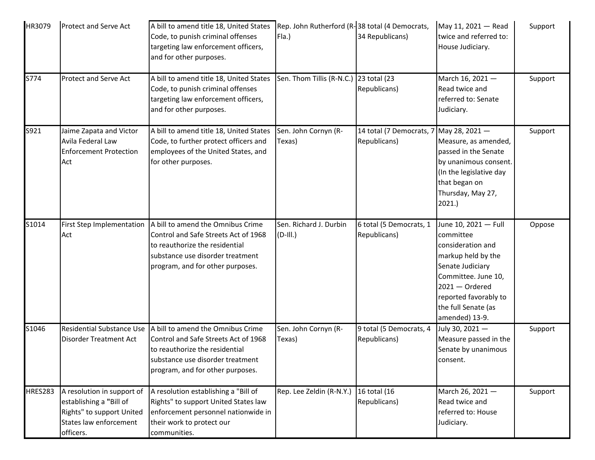| HR3079         | <b>Protect and Serve Act</b>                                                                                              | A bill to amend title 18, United States<br>Code, to punish criminal offenses<br>targeting law enforcement officers,<br>and for other purposes.                                      | Rep. John Rutherford (R-38 total (4 Democrats,<br>Fla.) | 34 Republicans)                          | May 11, 2021 - Read<br>twice and referred to:<br>House Judiciary.                                                                                                                                             | Support |
|----------------|---------------------------------------------------------------------------------------------------------------------------|-------------------------------------------------------------------------------------------------------------------------------------------------------------------------------------|---------------------------------------------------------|------------------------------------------|---------------------------------------------------------------------------------------------------------------------------------------------------------------------------------------------------------------|---------|
| S774           | Protect and Serve Act                                                                                                     | A bill to amend title 18, United States<br>Code, to punish criminal offenses<br>targeting law enforcement officers,<br>and for other purposes.                                      | Sen. Thom Tillis (R-N.C.) 23 total (23                  | Republicans)                             | March 16, 2021-<br>Read twice and<br>referred to: Senate<br>Judiciary.                                                                                                                                        | Support |
| S921           | Jaime Zapata and Victor<br>Avila Federal Law<br><b>Enforcement Protection</b><br>Act                                      | A bill to amend title 18, United States<br>Code, to further protect officers and<br>employees of the United States, and<br>for other purposes.                                      | Sen. John Cornyn (R-<br>Texas)                          | 14 total (7 Democrats, 7<br>Republicans) | May 28, 2021-<br>Measure, as amended,<br>passed in the Senate<br>by unanimous consent.<br>(In the legislative day<br>that began on<br>Thursday, May 27,<br>2021.                                              | Support |
| S1014          | First Step Implementation<br>Act                                                                                          | A bill to amend the Omnibus Crime<br>Control and Safe Streets Act of 1968<br>to reauthorize the residential<br>substance use disorder treatment<br>program, and for other purposes. | Sen. Richard J. Durbin<br>$(D-III.)$                    | 6 total (5 Democrats, 1<br>Republicans)  | June 10, 2021 - Full<br>committee<br>consideration and<br>markup held by the<br>Senate Judiciary<br>Committee. June 10,<br>$2021 -$ Ordered<br>reported favorably to<br>the full Senate (as<br>amended) 13-9. | Oppose  |
| S1046          | <b>Residential Substance Use</b><br>Disorder Treatment Act                                                                | A bill to amend the Omnibus Crime<br>Control and Safe Streets Act of 1968<br>to reauthorize the residential<br>substance use disorder treatment<br>program, and for other purposes. | Sen. John Cornyn (R-<br>Texas)                          | 9 total (5 Democrats, 4<br>Republicans)  | July 30, 2021-<br>Measure passed in the<br>Senate by unanimous<br>consent.                                                                                                                                    | Support |
| <b>HRES283</b> | A resolution in support of<br>establishing a "Bill of<br>Rights" to support United<br>States law enforcement<br>officers. | A resolution establishing a "Bill of<br>Rights" to support United States law<br>enforcement personnel nationwide in<br>their work to protect our<br>communities.                    | Rep. Lee Zeldin (R-N.Y.)                                | 16 total (16<br>Republicans)             | March 26, 2021-<br>Read twice and<br>referred to: House<br>Judiciary.                                                                                                                                         | Support |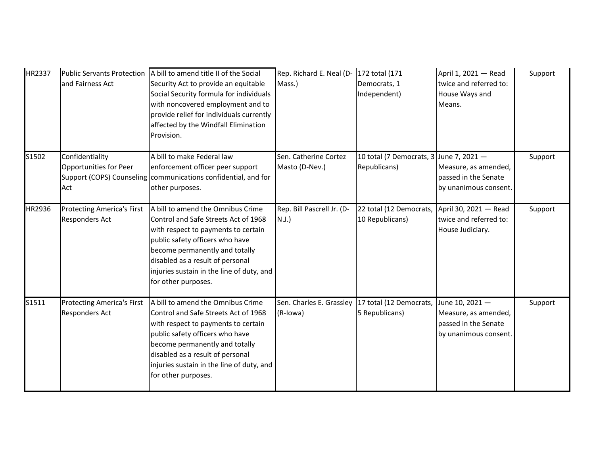| HR2337 | <b>Public Servants Protection</b><br>and Fairness Act                         | A bill to amend title II of the Social<br>Security Act to provide an equitable<br>Social Security formula for individuals<br>with noncovered employment and to<br>provide relief for individuals currently<br>affected by the Windfall Elimination<br>Provision.                              | Rep. Richard E. Neal (D-172 total (171<br>Mass.)               | Democrats, 1<br>Independent)                            | April 1, 2021 - Read<br>twice and referred to:<br>House Ways and<br>Means.               | Support |
|--------|-------------------------------------------------------------------------------|-----------------------------------------------------------------------------------------------------------------------------------------------------------------------------------------------------------------------------------------------------------------------------------------------|----------------------------------------------------------------|---------------------------------------------------------|------------------------------------------------------------------------------------------|---------|
| S1502  | Confidentiality<br>Opportunities for Peer<br>Support (COPS) Counseling<br>Act | A bill to make Federal law<br>enforcement officer peer support<br>communications confidential, and for<br>other purposes.                                                                                                                                                                     | Sen. Catherine Cortez<br>Masto (D-Nev.)                        | 10 total (7 Democrats, 3 June 7, 2021 -<br>Republicans) | Measure, as amended,<br>passed in the Senate<br>by unanimous consent.                    | Support |
| HR2936 | <b>Protecting America's First</b><br><b>Responders Act</b>                    | A bill to amend the Omnibus Crime<br>Control and Safe Streets Act of 1968<br>with respect to payments to certain<br>public safety officers who have<br>become permanently and totally<br>disabled as a result of personal<br>injuries sustain in the line of duty, and<br>for other purposes. | Rep. Bill Pascrell Jr. (D-<br>$N.J.$ )                         | 22 total (12 Democrats,<br>10 Republicans)              | April 30, 2021 - Read<br>twice and referred to:<br>House Judiciary.                      | Support |
| S1511  | <b>Protecting America's First</b><br><b>Responders Act</b>                    | A bill to amend the Omnibus Crime<br>Control and Safe Streets Act of 1968<br>with respect to payments to certain<br>public safety officers who have<br>become permanently and totally<br>disabled as a result of personal<br>injuries sustain in the line of duty, and<br>for other purposes. | Sen. Charles E. Grassley   17 total (12 Democrats,<br>(R-Iowa) | 5 Republicans)                                          | June 10, 2021 -<br>Measure, as amended,<br>passed in the Senate<br>by unanimous consent. | Support |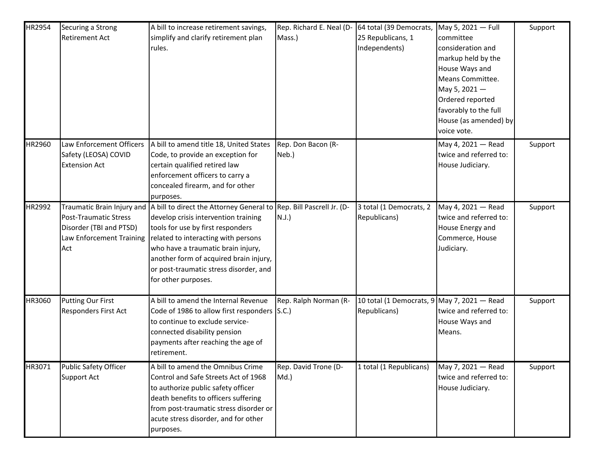| HR2954 | Securing a Strong<br><b>Retirement Act</b>                                          | A bill to increase retirement savings,<br>simplify and clarify retirement plan<br>rules.                                                                                                                                                                                                                                                 | Rep. Richard E. Neal (D-<br>Mass.)     | 64 total (39 Democrats,<br>25 Republicans, 1<br>Independents) | May 5, 2021 - Full<br>committee<br>consideration and<br>markup held by the<br>House Ways and<br>Means Committee.<br>May 5, 2021-<br>Ordered reported<br>favorably to the full<br>House (as amended) by<br>voice vote. | Support |
|--------|-------------------------------------------------------------------------------------|------------------------------------------------------------------------------------------------------------------------------------------------------------------------------------------------------------------------------------------------------------------------------------------------------------------------------------------|----------------------------------------|---------------------------------------------------------------|-----------------------------------------------------------------------------------------------------------------------------------------------------------------------------------------------------------------------|---------|
| HR2960 | Law Enforcement Officers<br>Safety (LEOSA) COVID<br><b>Extension Act</b>            | A bill to amend title 18, United States<br>Code, to provide an exception for<br>certain qualified retired law<br>enforcement officers to carry a<br>concealed firearm, and for other<br>purposes.                                                                                                                                        | Rep. Don Bacon (R-<br>Neb.)            |                                                               | May 4, 2021 - Read<br>twice and referred to:<br>House Judiciary.                                                                                                                                                      | Support |
| HR2992 | Post-Traumatic Stress<br>Disorder (TBI and PTSD)<br>Law Enforcement Training<br>Act | Traumatic Brain Injury and A bill to direct the Attorney General to<br>develop crisis intervention training<br>tools for use by first responders<br>related to interacting with persons<br>who have a traumatic brain injury,<br>another form of acquired brain injury,<br>or post-traumatic stress disorder, and<br>for other purposes. | Rep. Bill Pascrell Jr. (D-<br>$N.J.$ ) | 3 total (1 Democrats, 2<br>Republicans)                       | May 4, 2021 - Read<br>twice and referred to:<br>House Energy and<br>Commerce, House<br>Judiciary.                                                                                                                     | Support |
| HR3060 | <b>Putting Our First</b><br><b>Responders First Act</b>                             | A bill to amend the Internal Revenue<br>Code of 1986 to allow first responders S.C.)<br>to continue to exclude service-<br>connected disability pension<br>payments after reaching the age of<br>retirement.                                                                                                                             | Rep. Ralph Norman (R-                  | 10 total (1 Democrats, 9 May 7, 2021 - Read<br>Republicans)   | twice and referred to:<br>House Ways and<br>Means.                                                                                                                                                                    | Support |
| HR3071 | <b>Public Safety Officer</b><br>Support Act                                         | A bill to amend the Omnibus Crime<br>Control and Safe Streets Act of 1968<br>to authorize public safety officer<br>death benefits to officers suffering<br>from post-traumatic stress disorder or<br>acute stress disorder, and for other<br>purposes.                                                                                   | Rep. David Trone (D-<br>$Md.$ )        | 1 total (1 Republicans)                                       | May 7, 2021 - Read<br>twice and referred to:<br>House Judiciary.                                                                                                                                                      | Support |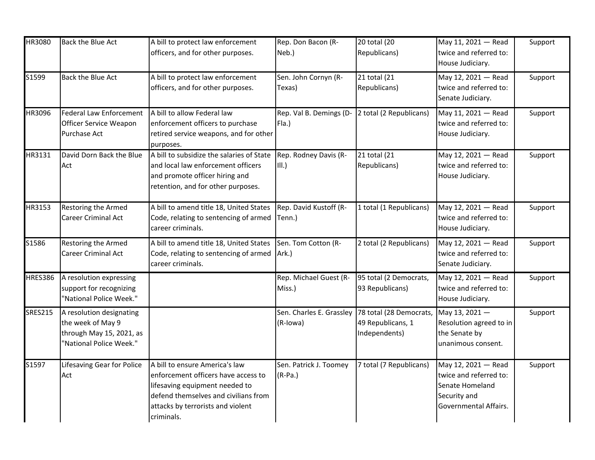| HR3080         | Back the Blue Act                                                                                    | A bill to protect law enforcement<br>officers, and for other purposes.                                                                                                                             | Rep. Don Bacon (R-<br>Neb.)          | 20 total (20<br>Republicans)                                  | May 11, 2021 - Read<br>twice and referred to:<br>House Judiciary.                                         | Support |
|----------------|------------------------------------------------------------------------------------------------------|----------------------------------------------------------------------------------------------------------------------------------------------------------------------------------------------------|--------------------------------------|---------------------------------------------------------------|-----------------------------------------------------------------------------------------------------------|---------|
| S1599          | <b>Back the Blue Act</b>                                                                             | A bill to protect law enforcement<br>officers, and for other purposes.                                                                                                                             | Sen. John Cornyn (R-<br>Texas)       | 21 total (21<br>Republicans)                                  | May 12, 2021 - Read<br>twice and referred to:<br>Senate Judiciary.                                        | Support |
| HR3096         | Federal Law Enforcement<br>Officer Service Weapon<br>Purchase Act                                    | A bill to allow Federal law<br>enforcement officers to purchase<br>retired service weapons, and for other<br>purposes.                                                                             | Rep. Val B. Demings (D-<br>Fla.)     | 2 total (2 Republicans)                                       | May 11, 2021 - Read<br>twice and referred to:<br>House Judiciary.                                         | Support |
| HR3131         | David Dorn Back the Blue<br>Act                                                                      | A bill to subsidize the salaries of State<br>and local law enforcement officers<br>and promote officer hiring and<br>retention, and for other purposes.                                            | Rep. Rodney Davis (R-<br>III.)       | 21 total (21<br>Republicans)                                  | May 12, 2021 - Read<br>twice and referred to:<br>House Judiciary.                                         | Support |
| HR3153         | Restoring the Armed<br><b>Career Criminal Act</b>                                                    | A bill to amend title 18, United States<br>Code, relating to sentencing of armed<br>career criminals.                                                                                              | Rep. David Kustoff (R-<br>Tenn.)     | 1 total (1 Republicans)                                       | May 12, 2021 - Read<br>twice and referred to:<br>House Judiciary.                                         | Support |
| S1586          | Restoring the Armed<br><b>Career Criminal Act</b>                                                    | A bill to amend title 18, United States<br>Code, relating to sentencing of armed<br>career criminals.                                                                                              | Sen. Tom Cotton (R-<br>Ark.)         | 2 total (2 Republicans)                                       | May 12, 2021 - Read<br>twice and referred to:<br>Senate Judiciary.                                        | Support |
| <b>HRES386</b> | A resolution expressing<br>support for recognizing<br>"National Police Week."                        |                                                                                                                                                                                                    | Rep. Michael Guest (R-<br>Miss.)     | 95 total (2 Democrats,<br>93 Republicans)                     | May 12, 2021 - Read<br>twice and referred to:<br>House Judiciary.                                         | Support |
| <b>SRES215</b> | A resolution designating<br>the week of May 9<br>through May 15, 2021, as<br>"National Police Week." |                                                                                                                                                                                                    | Sen. Charles E. Grassley<br>(R-Iowa) | 78 total (28 Democrats,<br>49 Republicans, 1<br>Independents) | May 13, 2021-<br>Resolution agreed to in<br>the Senate by<br>unanimous consent.                           | Support |
| S1597          | Lifesaving Gear for Police<br>Act                                                                    | A bill to ensure America's law<br>enforcement officers have access to<br>lifesaving equipment needed to<br>defend themselves and civilians from<br>attacks by terrorists and violent<br>criminals. | Sen. Patrick J. Toomey<br>$(R-Pa.)$  | 7 total (7 Republicans)                                       | May 12, 2021 - Read<br>twice and referred to:<br>Senate Homeland<br>Security and<br>Governmental Affairs. | Support |